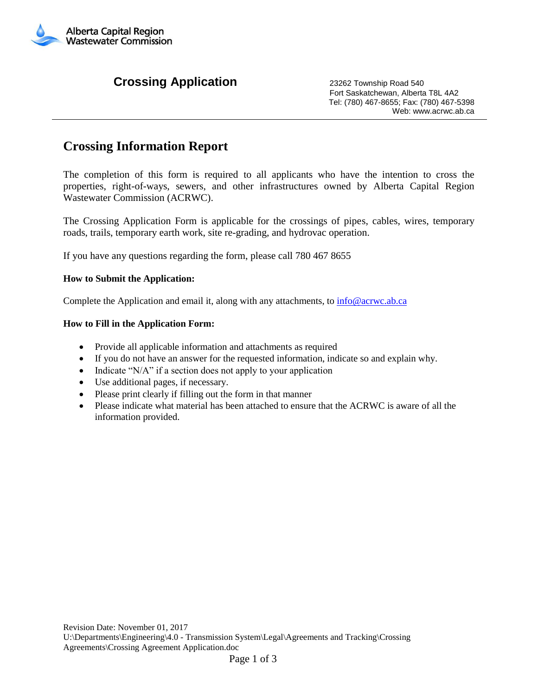

## **Crossing Application** 23262 Township Road 540

 Fort Saskatchewan, Alberta T8L 4A2 Tel: (780) 467-8655; Fax: (780) 467-5398 Web: www.acrwc.ab.ca

## **Crossing Information Report**

The completion of this form is required to all applicants who have the intention to cross the properties, right-of-ways, sewers, and other infrastructures owned by Alberta Capital Region Wastewater Commission (ACRWC).

The Crossing Application Form is applicable for the crossings of pipes, cables, wires, temporary roads, trails, temporary earth work, site re-grading, and hydrovac operation.

If you have any questions regarding the form, please call 780 467 8655

## **How to Submit the Application:**

Complete the Application and email it, along with any attachments, to  $in \mathbb{G}$  acrwc.ab.ca

## **How to Fill in the Application Form:**

- Provide all applicable information and attachments as required
- If you do not have an answer for the requested information, indicate so and explain why.
- Indicate "N/A" if a section does not apply to your application
- Use additional pages, if necessary.
- Please print clearly if filling out the form in that manner
- Please indicate what material has been attached to ensure that the ACRWC is aware of all the information provided.

U:\Departments\Engineering\4.0 - Transmission System\Legal\Agreements and Tracking\Crossing Agreements\Crossing Agreement Application.doc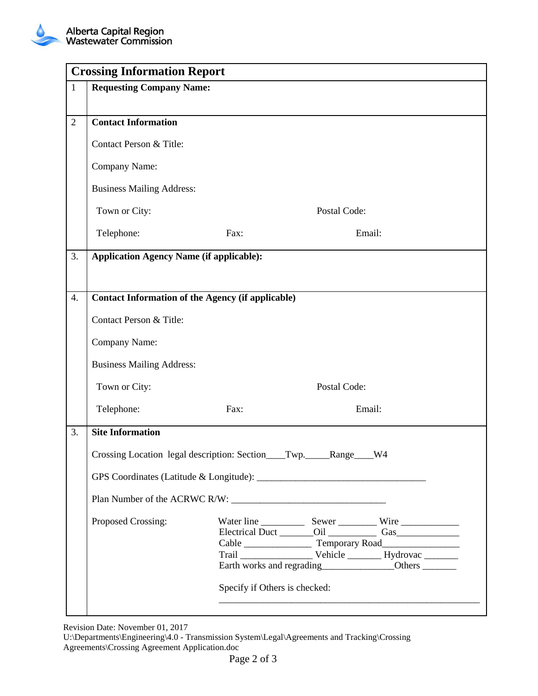|                | <b>Crossing Information Report</b>                                |                               |              |                                             |  |  |
|----------------|-------------------------------------------------------------------|-------------------------------|--------------|---------------------------------------------|--|--|
| $\mathbf{1}$   | <b>Requesting Company Name:</b>                                   |                               |              |                                             |  |  |
|                |                                                                   |                               |              |                                             |  |  |
| $\overline{2}$ | <b>Contact Information</b>                                        |                               |              |                                             |  |  |
|                | Contact Person & Title:                                           |                               |              |                                             |  |  |
|                | Company Name:                                                     |                               |              |                                             |  |  |
|                | <b>Business Mailing Address:</b>                                  |                               |              |                                             |  |  |
|                | Town or City:                                                     |                               | Postal Code: |                                             |  |  |
|                | Telephone:                                                        | Fax:                          |              | Email:                                      |  |  |
| 3.             | <b>Application Agency Name (if applicable):</b>                   |                               |              |                                             |  |  |
|                |                                                                   |                               |              |                                             |  |  |
| 4.             | <b>Contact Information of the Agency (if applicable)</b>          |                               |              |                                             |  |  |
|                | Contact Person & Title:                                           |                               |              |                                             |  |  |
|                | Company Name:                                                     |                               |              |                                             |  |  |
|                | <b>Business Mailing Address:</b>                                  |                               |              |                                             |  |  |
|                | Town or City:                                                     | Postal Code:                  |              |                                             |  |  |
|                | Telephone:                                                        | Fax:                          | Email:       |                                             |  |  |
| 3.             | <b>Site Information</b>                                           |                               |              |                                             |  |  |
|                | Crossing Location legal description: Section___Twp.____Range___W4 |                               |              |                                             |  |  |
|                |                                                                   |                               |              |                                             |  |  |
|                |                                                                   |                               |              |                                             |  |  |
|                | Proposed Crossing:                                                |                               |              | Earth works and regrading<br><u>Cothers</u> |  |  |
|                |                                                                   | Specify if Others is checked: |              |                                             |  |  |

Revision Date: November 01, 2017

U:\Departments\Engineering\4.0 - Transmission System\Legal\Agreements and Tracking\Crossing Agreements\Crossing Agreement Application.doc